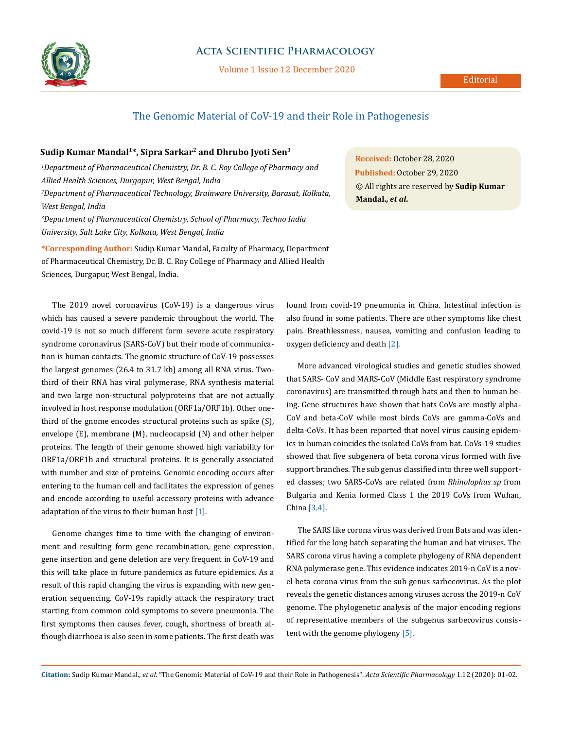

## **Acta Scientific Pharmacology**

Volume 1 Issue 12 December 2020

# The Genomic Material of CoV-19 and their Role in Pathogenesis

### **Sudip Kumar Mandal1\*, Sipra Sarkar2 and Dhrubo Jyoti Sen3**

*1 Department of Pharmaceutical Chemistry, Dr. B. C. Roy College of Pharmacy and Allied Health Sciences, Durgapur, West Bengal, India 2 Department of Pharmaceutical Technology, Brainware University, Barasat, Kolkata, West Bengal, India 3 Department of Pharmaceutical Chemistry, School of Pharmacy, Techno India* 

*University, Salt Lake City, Kolkata, West Bengal, India*

**\*Corresponding Author:** Sudip Kumar Mandal, Faculty of Pharmacy, Department of Pharmaceutical Chemistry, Dr. B. C. Roy College of Pharmacy and Allied Health Sciences, Durgapur, West Bengal, India.

The 2019 novel coronavirus (CoV-19) is a dangerous virus which has caused a severe pandemic throughout the world. The covid-19 is not so much different form severe acute respiratory syndrome coronavirus (SARS-CoV) but their mode of communication is human contacts. The gnomic structure of CoV-19 possesses the largest genomes (26.4 to 31.7 kb) among all RNA virus. Twothird of their RNA has viral polymerase, RNA synthesis material and two large non-structural polyproteins that are not actually involved in host response modulation (ORF1a/ORF1b). Other onethird of the gnome encodes structural proteins such as spike (S), envelope (E), membrane (M), nucleocapsid (N) and other helper proteins. The length of their genome showed high variability for ORF1a/ORF1b and structural proteins. It is generally associated with number and size of proteins. Genomic encoding occurs after entering to the human cell and facilitates the expression of genes and encode according to useful accessory proteins with advance adaptation of the virus to their human host [1].

Genome changes time to time with the changing of environment and resulting form gene recombination, gene expression, gene insertion and gene deletion are very frequent in CoV-19 and this will take place in future pandemics as future epidemics. As a result of this rapid changing the virus is expanding with new generation sequencing. CoV-19s rapidly attack the respiratory tract starting from common cold symptoms to severe pneumonia. The first symptoms then causes fever, cough, shortness of breath although diarrhoea is also seen in some patients. The first death was

**Received:** October 28, 2020 **Published:** October 29, 2020 © All rights are reserved by **Sudip Kumar Mandal.,** *et al***.**

found from covid-19 pneumonia in China. Intestinal infection is also found in some patients. There are other symptoms like chest pain. Breathlessness, nausea, vomiting and confusion leading to oxygen deficiency and death [2].

More advanced virological studies and genetic studies showed that SARS- CoV and MARS-CoV (Middle East respiratory syndrome coronavirus) are transmitted through bats and then to human being. Gene structures have shown that bats CoVs are mostly alpha-CoV and beta-CoV while most birds CoVs are gamma-CoVs and delta-CoVs. It has been reported that novel virus causing epidemics in human coincides the isolated CoVs from bat. CoVs-19 studies showed that five subgenera of beta corona virus formed with five support branches. The sub genus classified into three well supported classes; two SARS-CoVs are related from *Rhinolophus sp* from Bulgaria and Kenia formed Class 1 the 2019 CoVs from Wuhan, China [3,4].

The SARS like corona virus was derived from Bats and was identified for the long batch separating the human and bat viruses. The SARS corona virus having a complete phylogeny of RNA dependent RNA polymerase gene. This evidence indicates 2019-n CoV is a novel beta corona virus from the sub genus sarbecovirus. As the plot reveals the genetic distances among viruses across the 2019-n CoV genome. The phylogenetic analysis of the major encoding regions of representative members of the subgenus sarbecovirus consistent with the genome phylogeny [5].

**Citation:** Sudip Kumar Mandal*., et al.* "The Genomic Material of CoV-19 and their Role in Pathogenesis". *Acta Scientific Pharmacology* 1.12 (2020): 01-02.